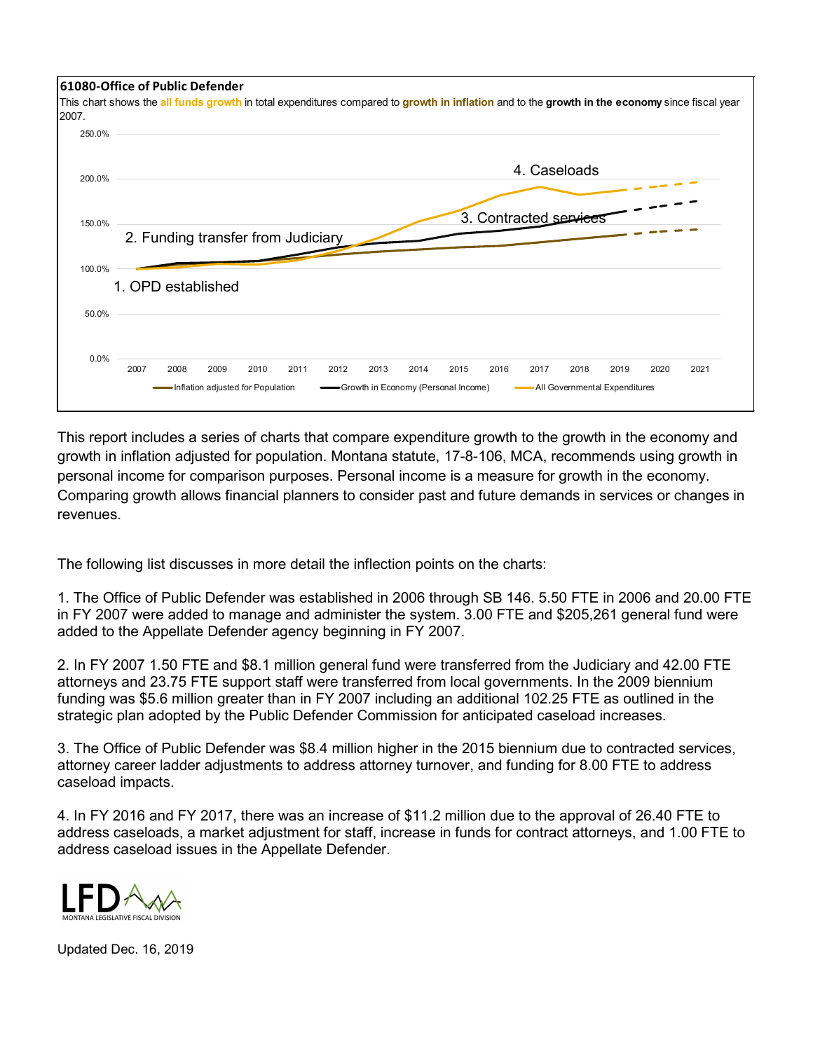

This report includes a series of charts that compare expenditure growth to the growth in the economy and growth in inflation adjusted for population. Montana statute, 17-8-106, MCA, recommends using growth in personal income for comparison purposes. Personal income is a measure for growth in the economy. Comparing growth allows financial planners to consider past and future demands in services or changes in revenues.

The following list discusses in more detail the inflection points on the charts:

1. The Office of Public Defender was established in 2006 through SB 146. 5.50 FTE in 2006 and 20.00 FTE in FY 2007 were added to manage and administer the system. 3.00 FTE and \$205,261 general fund were added to the Appellate Defender agency beginning in FY 2007.

2. In FY 2007 1.50 FTE and \$8.1 million general fund were transferred from the Judiciary and 42.00 FTE attorneys and 23.75 FTE support staff were transferred from local governments. In the 2009 biennium funding was \$5.6 million greater than in FY 2007 including an additional 102.25 FTE as outlined in the strategic plan adopted by the Public Defender Commission for anticipated caseload increases.

3. The Office of Public Defender was \$8.4 million higher in the 2015 biennium due to contracted services, attorney career ladder adjustments to address attorney turnover, and funding for 8.00 FTE to address caseload impacts.

4. In FY 2016 and FY 2017, there was an increase of \$11.2 million due to the approval of 26.40 FTE to address caseloads, a market adjustment for staff, increase in funds for contract attorneys, and 1.00 FTE to address caseload issues in the Appellate Defender.



Updated Dec. 16, 2019